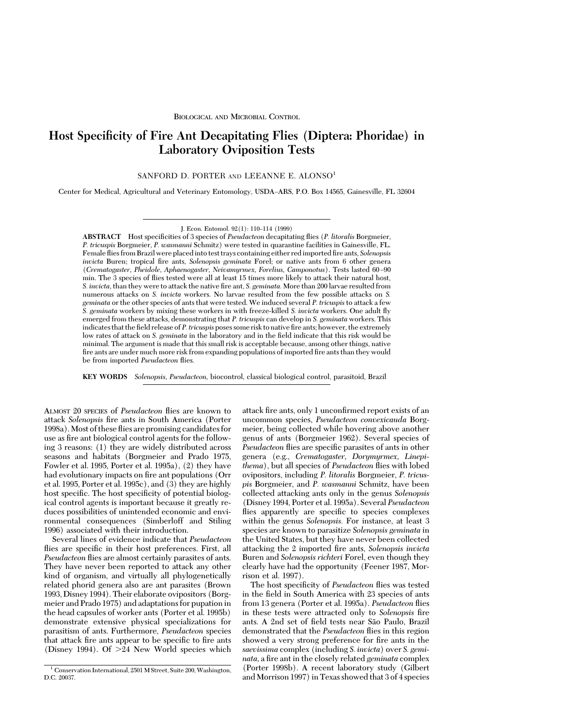# **Host Specificity of Fire Ant Decapitating Flies (Diptera: Phoridae) in Laboratory Oviposition Tests**

SANFORD D. PORTER AND LEEANNE E. ALONSO<sup>1</sup>

Center for Medical, Agricultural and Veterinary Entomology, USDA–ARS, P.O. Box 14565, Gainesville, FL 32604

J. Econ. Entomol. 92(1): 110-114 (1999)

**ABSTRACT** Host specificities of 3 species of *Pseudacteon* decapitating flies (*P. litoralis* Borgmeier, *P. tricuspis* Borgmeier, *P. wasmanni* Schmitz) were tested in quarantine facilities in Gainesville, FL. Female ßies from Brazil were placedinto test trays containing either redimported Þre ants, *Solenopsis invicta* Buren; tropical fire ants, *Solenopsis geminata* Forel; or native ants from 6 other genera (*Crematogaster, Pheidole, Aphaenogaster, Neivamyrmex, Forelius, Camponotus*). Tests lasted 60Ð90 min. The 3 species of ßies tested were all at least 15 times more likely to attack their natural host, *S. invicta*, than they were to attack the native fire ant, *S. geminata*. More than 200 larvae resulted from numerous attacks on *S. invicta* workers. No larvae resulted from the few possible attacks on *S. geminata* or the other species of ants that were tested. We induced several *P. tricuspis* to attack a few *S. geminata* workers by mixing these workers in with freeze-killed *S. invicta* workers. One adult ßy emerged from these attacks, demonstrating that *P. tricuspis* can develop in *S. geminata* workers. This indicates that the field release of *P. tricuspis* poses some risk to native fire ants; however, the extremely low rates of attack on *S. geminata* in the laboratory and in the field indicate that this risk would be minimal. The argument is made that this small risk is acceptable because, among other things, native fire ants are under much more risk from expanding populations of imported fire ants than they would be from imported *Pseudacteon* ßies.

**KEY WORDS** *Solenopsis, Pseudacteon,* biocontrol, classical biological control, parasitoid, Brazil

ALMOST 20 SPECIES of *Pseudacteon* ßies are known to attack *Solenopsis* fire ants in South America (Porter 1998a).Most of these ßies are promising candidates for use as fire ant biological control agents for the following 3 reasons: (1) they are widely distributed across seasons and habitats (Borgmeier and Prado 1975, Fowler et al. 1995, Porter et al. 1995a), (2) they have had evolutionary impacts on fire ant populations (Orr et al. 1995, Porter et al. 1995c), and (3) they are highly host specific. The host specificity of potential biological control agents is important because it greatly reduces possibilities of unintended economic and environmental consequences (Simberloff and Stiling 1996) associated with their introduction.

Several lines of evidence indicate that *Pseudacteon* flies are specific in their host preferences. First, all *Pseudacteon* ßies are almost certainly parasites of ants. They have never been reported to attack any other kind of organism, and virtually all phylogenetically related phorid genera also are ant parasites (Brown 1993, Disney 1994). Their elaborate ovipositors (Borgmeier and Prado 1975) and adaptations for pupation in the head capsules of worker ants (Porter et al. 1995b) demonstrate extensive physical specializations for parasitism of ants. Furthermore, *Pseudacteon* species that attack fire ants appear to be specific to fire ants (Disney 1994). Of  $>24$  New World species which

attack fire ants, only 1 unconfirmed report exists of an uncommon species, *Pseudacteon convexicauda* Borgmeier, being collected while hovering above another genus of ants (Borgmeier 1962). Several species of *Pseudacteon* flies are specific parasites of ants in other genera (e.g., *Crematogaster, Dorymyrmex, Linepithema*), but all species of *Pseudacteon* ßies with lobed ovipositors, including *P. litoralis* Borgmeier, *P. tricuspis* Borgmeier, and *P. wasmanni* Schmitz, have been collected attacking ants only in the genus *Solenopsis* (Disney 1994, Porter et al. 1995a). Several *Pseudacteon* flies apparently are specific to species complexes within the genus *Solenopsis.* For instance, at least 3 species are known to parasitize *Solenopsis geminata* in the United States, but they have never been collected attacking the 2 imported fire ants, *Solenopsis invicta* Buren and *Solenopsis richteri* Forel, even though they clearly have had the opportunity (Feener 1987, Morrison et al. 1997).

The host specificity of *Pseudacteon* flies was tested in the field in South America with 23 species of ants from 13 genera (Porter et al. 1995a). *Pseudacteon* ßies in these tests were attracted only to *Solenopsis* fire ants. A 2nd set of field tests near São Paulo, Brazil demonstrated that the *Pseudacteon* ßies in this region showed a very strong preference for fire ants in the *saevissima* complex (including *S. invicta*) over *S. geminata*, a fire ant in the closely related *geminata* complex (Porter 1998b). A recent laboratory study (Gilbert and Morrison 1997) in Texas showed that 3 of 4 species

<sup>&</sup>lt;sup>1</sup> Conservation International, 2501 M Street, Suite 200, Washington, D.C. 20037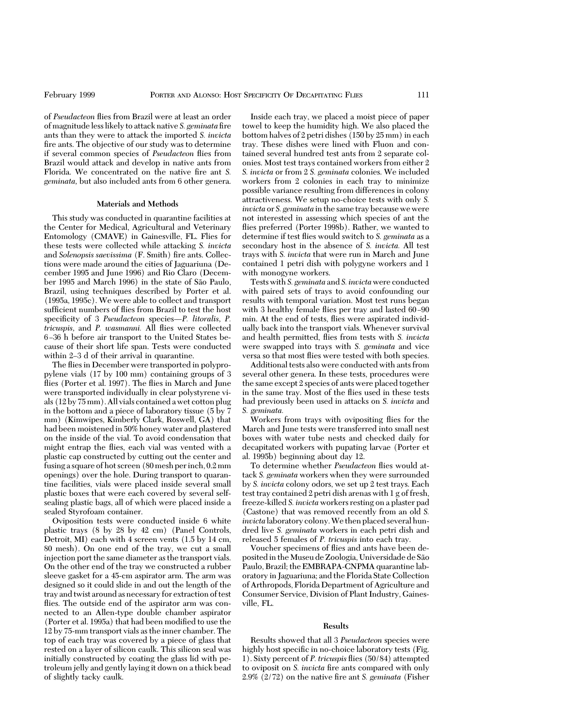of *Pseudacteon* ßies from Brazil were at least an order of magnitude less likely to attack native *S. geminata* fire ants than they were to attack the imported *S. invicta* fire ants. The objective of our study was to determine if several common species of *Pseudacteon* ßies from Brazil would attack and develop in native ants from Florida. We concentrated on the native fire ant *S*. *geminata,* but also included ants from 6 other genera.

### **Materials and Methods**

This study was conducted in quarantine facilities at the Center for Medical, Agricultural and Veterinary Entomology (CMAVE) in Gainesville, FL. Flies for these tests were collected while attacking *S. invicta* and *Solenopsis saevissima* (F. Smith) fire ants. Collections were made around the cities of Jaguariuna (December 1995 and June 1996) and Rio Claro (December 1995 and March 1996) in the state of São Paulo, Brazil, using techniques described by Porter et al. (1995a, 1995c). We were able to collect and transport sufficient numbers of flies from Brazil to test the host specificity of 3 *Pseudacteon* species-P. litoralis, P. *tricuspis,* and *P. wasmanni.* All ßies were collected 6 Ð36 h before air transport to the United States because of their short life span. Tests were conducted within 2–3 d of their arrival in quarantine.

The flies in December were transported in polypropylene vials (17 by 100 mm) containing groups of 3 flies (Porter et al. 1997). The flies in March and June were transported individually in clear polystyrene vials (12 by 75 mm). All vials contained a wet cotton plug in the bottom and a piece of laboratory tissue (5 by 7 mm) (Kimwipes, Kimberly Clark, Roswell, GA) that had been moistened in 50% honey water and plastered on the inside of the vial. To avoid condensation that might entrap the ßies, each vial was vented with a plastic cap constructed by cutting out the center and fusing a square of hot screen (80mesh perinch, 0.2mm openings) over the hole. During transport to quarantine facilities, vials were placed inside several small plastic boxes that were each covered by several selfsealing plastic bags, all of which were placed inside a sealed Styrofoam container.

Oviposition tests were conducted inside 6 white plastic trays (8 by 28 by 42 cm) (Panel Controls, Detroit, MI) each with 4 screen vents (1.5 by 14 cm, 80 mesh). On one end of the tray, we cut a small injection port the same diameter as the transport vials. On the other end of the tray we constructed a rubber sleeve gasket for a 45-cm aspirator arm. The arm was designed so it could slide in and out the length of the tray and twist around as necessary for extraction of test flies. The outside end of the aspirator arm was connected to an Allen-type double chamber aspirator (Porter et al. 1995a) that had been modified to use the 12 by 75-mm transport vials as the inner chamber. The top of each tray was covered by a piece of glass that rested on a layer of silicon caulk. This silicon seal was initially constructed by coating the glass lid with petroleum jelly and gently laying it down on a thick bead of slightly tacky caulk.

Inside each tray, we placed a moist piece of paper towel to keep the humidity high. We also placed the bottom halves of 2 petri dishes (150 by 25 mm) in each tray. These dishes were lined with Fluon and contained several hundred test ants from 2 separate colonies. Most test trays contained workers from either 2 *S. invicta* or from 2 *S. geminata* colonies. We included workers from 2 colonies in each tray to minimize possible variance resulting from differences in colony attractiveness. We setup no-choice tests with only *S. invicta* or *S. geminata* in the same tray because we were not interested in assessing which species of ant the flies preferred (Porter 1998b). Rather, we wanted to determine if test ßies would switch to *S. geminata* as a secondary host in the absence of *S. invicta.* All test trays with *S. invicta* that were run in March and June contained 1 petri dish with polygyne workers and 1 with monogyne workers.

Tests with *S. geminata* and *S. invicta*were conducted with paired sets of trays to avoid confounding our results with temporal variation. Most test runs began with 3 healthy female flies per tray and lasted 60-90 min. At the end of tests, ßies were aspirated individually back into the transport vials. Whenever survival and health permitted, ßies from tests with *S. invicta* were swapped into trays with *S. geminata* and vice versa so that most ßies were tested with both species.

Additional tests also were conducted with ants from several other genera. In these tests, procedures were the same except 2 species of ants were placed together in the same tray. Most of the ßies used in these tests had previously been used in attacks on *S. invicta* and *S. geminata.*

Workers from trays with ovipositing ßies for the March and June tests were transferred into small nest boxes with water tube nests and checked daily for decapitated workers with pupating larvae (Porter et al. 1995b) beginning about day 12.

To determine whether *Pseudacteon* ßies would attack *S. geminata* workers when they were surrounded by *S. invicta* colony odors, we set up 2 test trays. Each test tray contained 2 petri dish arenas with 1 g of fresh, freeze-killed *S. invicta* workers resting on a plaster pad (Castone) that was removed recently from an old *S. invicta* laboratory colony.We then placed several hundred live *S. geminata* workers in each petri dish and released 5 females of *P. tricuspis* into each tray.

Voucher specimens of ßies and ants have been depositedin theMuseu de Zoologia, Universidade de Sa˜o Paulo, Brazil; the EMBRAPA-CNPMA quarantine laboratory in Jaguariuna; and the Florida State Collection of Arthropods, Florida Department of Agriculture and Consumer Service, Division of Plant Industry, Gainesville, FL.

#### **Results**

Results showed that all 3 *Pseudacteon* species were highly host specific in no-choice laboratory tests (Fig. 1). Sixty percent of *P. tricuspis* ßies (50/84) attempted to oviposit on *S. invicta* fire ants compared with only 2.9% (2/72) on the native fire ant *S. geminata* (Fisher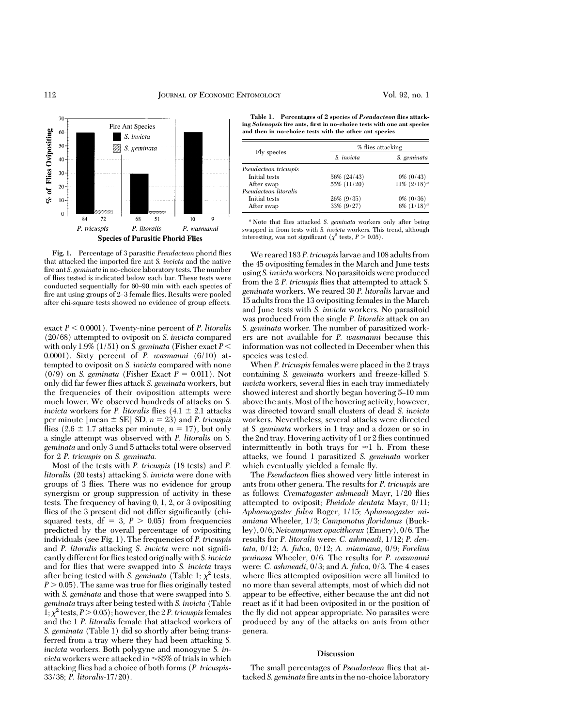

**Fig. 1.** Percentage of 3 parasitic *Pseudacteon* phorid ßies that attacked the imported fire ant *S. invicta* and the native fire ant *S. geminata* in no-choice laboratory tests. The number of ßies tested is indicated below each bar. These tests were conducted sequentially for 60–90 min with each species of fire ant using groups of 2-3 female flies. Results were pooled after chi-square tests showed no evidence of group effects.

exact  $P < 0.0001$ ). Twenty-nine percent of *P. litoralis* (20/68) attempted to oviposit on *S. invicta* compared with only 1.9% (1/51) on *S. geminata* (Fisher exact  $P \leq$ 0.0001). Sixty percent of *P. wasmanni* (6/10) attempted to oviposit on *S. invicta* compared with none  $(0/9)$  on *S. geminata* (Fisher Exact  $P = 0.011$ ). Not only did far fewer ßies attack *S. geminata* workers, but the frequencies of their oviposition attempts were much lower. We observed hundreds of attacks on *S. invicta* workers for *P. litoralis* flies  $(4.1 \pm 2.1)$  attacks per minute  $[mean \pm SE] SD$ ,  $n = 23$ ) and *P. tricuspis* flies  $(2.6 \pm 1.7 \text{ attacks per minute}, n = 17)$ , but only a single attempt was observed with *P. litoralis* on *S. geminata* and only 3 and 5 attacks total were observed for 2 *P. tricuspis* on *S. geminata.*

Most of the tests with *P. tricuspis* (18 tests) and *P. litoralis* (20 tests) attacking *S. invicta* were done with groups of 3 ßies. There was no evidence for group synergism or group suppression of activity in these tests. The frequency of having 0, 1, 2, or 3 ovipositing flies of the 3 present did not differ significantly (chisquared tests,  $df = 3$ ,  $P > 0.05$ ) from frequencies predicted by the overall percentage of ovipositing individuals (see Fig. 1). The frequencies of *P. tricuspis* and *P. litoralis* attacking *S. invicta* were not signiÞcantly different for ßies tested originally with *S. invicta* and for ßies that were swapped into *S. invicta* trays after being tested with *S. geminata* (Table 1;  $\chi^2$  tests,  $P > 0.05$ ). The same was true for flies originally tested with *S. geminata* and those that were swapped into *S. geminata* trays after being tested with *S. invicta* (Table 1;  $\chi^2$  tests,  $P > 0.05$ ); however, the 2 *P. tricuspis* females and the 1 *P. litoralis* female that attacked workers of *S. geminata* (Table 1) did so shortly after being transferred from a tray where they had been attacking *S. invicta* workers. Both polygyne and monogyne *S. invicta* workers were attacked in  $\approx$ 85% of trials in which attacking ßies had a choice of both forms (*P. tricuspis-*33/38; *P. litoralis*-17/20).

**Table 1. Percentages of 2 species of** *Pseudacteon* **flies attacking** *Solenopsis* **fire ants, first in no-choice tests with one ant species and then in no-choice tests with the other ant species**

| Fly species           | % flies attacking |                     |
|-----------------------|-------------------|---------------------|
|                       | S. <i>invicta</i> | S. geminata         |
| Pseudacteon tricuspis |                   |                     |
| Initial tests         | 56% (24/43)       | $0\%$ $(0/43)$      |
| After swap            | 55% (11/20)       | $11\%$ $(2/18)^{a}$ |
| Pseudacteon litoralis |                   |                     |
| Initial tests         | 26% (9/35)        | $0\%$ $(0/36)$      |
| After swap            | 33% (9/27)        | 6% $(1/18)^{a}$     |

*<sup>a</sup>* Note that ßies attacked *S. geminata* workers only after being swapped in from tests with *S. invicta* workers. This trend, although interesting, was not significant ( $\chi^2$  tests,  $P > 0.05$ ).

We reared 183 *P. tricuspis*larvae and 108 adults from the 45 ovipositing females in the March and June tests using *S. invicta*workers. No parasitoids were produced from the 2 *P. tricuspis* ßies that attempted to attack *S. geminata* workers. We reared 30 *P. litoralis* larvae and 15 adults from the 13 ovipositing females in the March and June tests with *S. invicta* workers. No parasitoid was produced from the single *P. litoralis* attack on an *S. geminata* worker. The number of parasitized workers are not available for *P. wasmanni* because this information was not collected in December when this species was tested.

When *P. tricuspis* females were placed in the 2 trays containing *S. geminata* workers and freeze-killed *S. invicta* workers, several ßies in each tray immediately showed interest and shortly began hovering 5-10 mm above the ants.Most of the hovering activity, however, was directed toward small clusters of dead *S. invicta* workers. Nevertheless, several attacks were directed at *S. geminata* workers in 1 tray and a dozen or so in the 2nd tray. Hovering activity of 1 or 2 ßies continued intermittently in both trays for  $\approx$ 1 h. From these attacks, we found 1 parasitized *S. geminata* worker which eventually yielded a female fly.

The *Pseudacteon* ßies showed very little interest in ants from other genera. The results for *P. tricuspis* are as follows: *Crematogaster ashmeadi* Mayr, 1/20 ßies attempted to oviposit; *Pheidole dentata* Mayr, 0/11; *Aphaenogaster fulva* Roger, 1/15; *Aphaenogaster miamiana* Wheeler, 1/3; *Camponotus floridanus* (Buckley), 0/6; *Neivamyrmex opacithorax* (Emery), 0/6. The results for *P. litoralis* were: *C. ashmeadi,* 1/12; *P. dentata,* 0/12; *A. fulva,* 0/12; *A. miamiana,* 0/9; *Forelius pruinosa* Wheeler, 0/6. The results for *P. wasmanni* were: *C. ashmeadi,* 0/3; and *A. fulva,* 0/3. The 4 cases where ßies attempted oviposition were all limited to no more than several attempts, most of which did not appear to be effective, either because the ant did not react as if it had been oviposited in or the position of the ßy did not appear appropriate. No parasites were produced by any of the attacks on ants from other genera.

### **Discussion**

The small percentages of *Pseudacteon* ßies that attacked *S. geminata* fire ants in the no-choice laboratory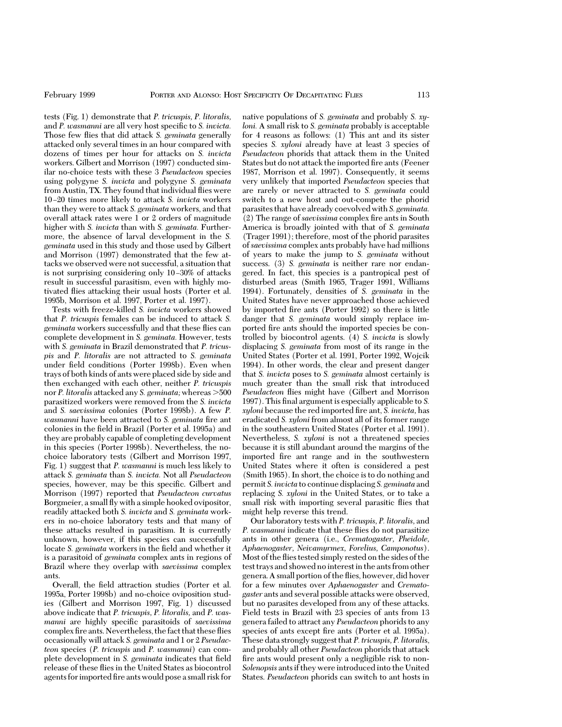tests (Fig. 1) demonstrate that *P. tricuspis, P. litoralis,* and *P. wasmanni* are all very host specific to *S. invicta.* Those few ßies that did attack *S. geminata* generally attacked only several times in an hour compared with dozens of times per hour for attacks on *S. invicta* workers. Gilbert and Morrison (1997) conducted similar no-choice tests with these 3 *Pseudacteon* species using polygyne *S. invicta* and polygyne *S. geminata* from Austin, TX. They found that individual ßies were 10 Ð20 times more likely to attack *S. invicta* workers than they were to attack *S. geminata* workers, and that overall attack rates were 1 or 2 orders of magnitude higher with *S. invicta* than with *S. geminata.* Furthermore, the absence of larval development in the *S. geminata* used in this study and those used by Gilbert and Morrison (1997) demonstrated that the few attacks we observed were not successful, a situation that is not surprising considering only 10–30% of attacks result in successful parasitism, even with highly motivated ßies attacking their usual hosts (Porter et al. 1995b, Morrison et al. 1997, Porter et al. 1997).

Tests with freeze-killed *S. invicta* workers showed that *P. tricuspis* females can be induced to attack *S. geminata* workers successfully and that these ßies can complete development in *S. geminata.* However, tests with *S. geminata* in Brazil demonstrated that *P. tricuspis* and *P. litoralis* are not attracted to *S. geminata* under field conditions (Porter 1998b). Even when trays of both kinds of ants were placed side by side and then exchanged with each other, neither *P. tricuspis* nor *P. litoralis* attacked any *S. geminata*; whereas  $>500$ parasitized workers were removed from the *S. invicta* and *S. saevissima* colonies (Porter 1998b). A few *P. wasmanni* have been attracted to *S. geminata* fire ant colonies in the field in Brazil (Porter et al. 1995a) and they are probably capable of completing development in this species (Porter 1998b). Nevertheless, the nochoice laboratory tests (Gilbert and Morrison 1997, Fig. 1) suggest that *P. wasmanni* is much less likely to attack *S. geminata* than *S. invicta.* Not all *Pseudacteon* species, however, may be this specific. Gilbert and Morrison (1997) reported that *Pseudacteon curvatus* Borgmeier, a small ßy with a simple hooked ovipositor, readily attacked both *S. invicta* and *S. geminata* workers in no-choice laboratory tests and that many of these attacks resulted in parasitism. It is currently unknown, however, if this species can successfully locate *S. geminata* workers in the field and whether it is a parasitoid of *geminata* complex ants in regions of Brazil where they overlap with *saevissima* complex ants.

Overall, the field attraction studies (Porter et al. 1995a, Porter 1998b) and no-choice oviposition studies (Gilbert and Morrison 1997, Fig. 1) discussed above indicate that *P. tricuspis, P. litoralis,* and *P. wasmanni* are highly specific parasitoids of *saevissima* complex fire ants. Nevertheless, the fact that these flies occasionally will attack *S. geminata* and 1 or 2 *Pseudacteon* species (*P. tricuspis* and *P. wasmanni*) can complete development in *S. geminata* indicates that field release of these ßies in the United States as biocontrol agents for imported fire ants would pose a small risk for

native populations of *S. geminata* and probably *S. xyloni.* A small risk to *S. geminata* probably is acceptable for 4 reasons as follows: (1) This ant and its sister species *S. xyloni* already have at least 3 species of *Pseudacteon* phorids that attack them in the United States but do not attack the imported fire ants (Feener 1987, Morrison et al. 1997). Consequently, it seems very unlikely that imported *Pseudacteon* species that are rarely or never attracted to *S. geminata* could switch to a new host and out-compete the phorid parasites that have already coevolved with *S. geminata.* (2) The range of *saevissima* complex fire ants in South America is broadly jointed with that of *S. geminata* (Trager 1991); therefore, most of the phorid parasites of*saevissima* complex ants probably have had millions of years to make the jump to *S. geminata* without success. (3) *S. geminata* is neither rare nor endangered. In fact, this species is a pantropical pest of disturbed areas (Smith 1965, Trager 1991, Williams 1994). Fortunately, densities of *S. geminata* in the United States have never approached those achieved by imported fire ants (Porter 1992) so there is little danger that *S. geminata* would simply replace imported fire ants should the imported species be controlled by biocontrol agents. (4) *S. invicta* is slowly displacing *S. geminata* from most of its range in the United States (Porter et al. 1991, Porter 1992, Wojcik 1994). In other words, the clear and present danger that *S. invicta* poses to *S. geminata* almost certainly is much greater than the small risk that introduced *Pseudacteon* ßies might have (Gilbert and Morrison 1997). This final argument is especially applicable to S. *xyloni* because the red imported fire ant, *S. invicta*, has eradicated *S. xyloni* from almost all of its former range in the southeastern United States (Porter et al. 1991). Nevertheless, *S. xyloni* is not a threatened species because it is still abundant around the margins of the imported fire ant range and in the southwestern United States where it often is considered a pest (Smith 1965). In short, the choice is to do nothing and permit *S. invicta* to continue displacing *S. geminata* and replacing *S. xyloni* in the United States, or to take a small risk with importing several parasitic ßies that might help reverse this trend.

Our laboratory tests with *P. tricuspis, P. litoralis,* and *P. wasmanni* indicate that these ßies do not parasitize ants in other genera (i.e., *Crematogaster, Pheidole, Aphaenogaster, Neivamyrmex, Forelius, Camponotus*). Most of the ßies tested simply rested on the sides of the test trays and showed no interest in the ants from other genera. A small portion of the ßies, however, did hover for a few minutes over *Aphaenogaster* and *Crematogaster* ants and several possible attacks were observed, but no parasites developed from any of these attacks. Field tests in Brazil with 23 species of ants from 13 genera failed to attract any *Pseudacteon* phorids to any species of ants except fire ants (Porter et al. 1995a). These data strongly suggest that *P. tricuspis, P. litorali*s, and probably all other *Pseudacteon* phorids that attack fire ants would present only a negligible risk to non-*Solenopsis* ants if they were introduced into the United States. *Pseudacteon* phorids can switch to ant hosts in